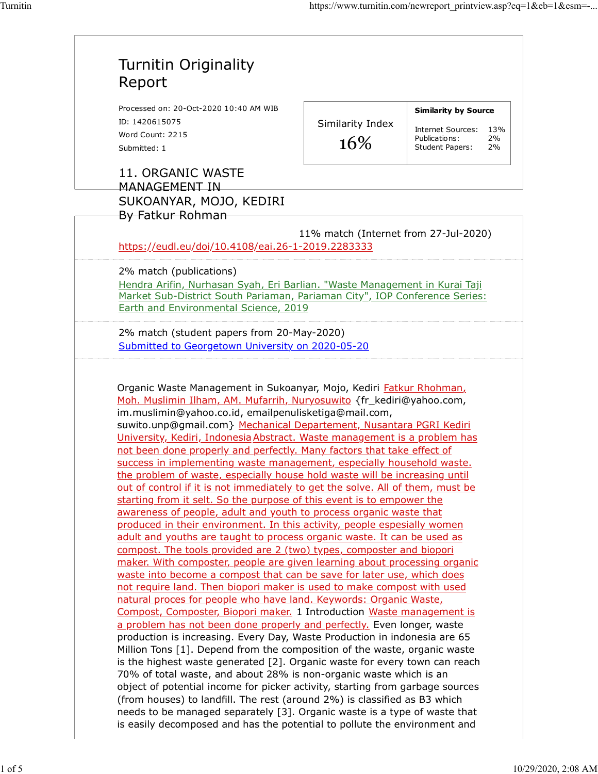Ĩ.

| Processed on: 20-Oct-2020 10:40 AM WIB<br>ID: 1420615075<br>Word Count: 2215                                                                                                                                                                                                                                                                                                                                                                                                                                                                                                                                                                                                                                                                                                                                                                                                                                                                                                                                                                                                                                                                                                                                                                                                                                                                                                                                                                                                                                                                                                                                                                                                                                                                               |                                       | <b>Similarity by Source</b>                     |
|------------------------------------------------------------------------------------------------------------------------------------------------------------------------------------------------------------------------------------------------------------------------------------------------------------------------------------------------------------------------------------------------------------------------------------------------------------------------------------------------------------------------------------------------------------------------------------------------------------------------------------------------------------------------------------------------------------------------------------------------------------------------------------------------------------------------------------------------------------------------------------------------------------------------------------------------------------------------------------------------------------------------------------------------------------------------------------------------------------------------------------------------------------------------------------------------------------------------------------------------------------------------------------------------------------------------------------------------------------------------------------------------------------------------------------------------------------------------------------------------------------------------------------------------------------------------------------------------------------------------------------------------------------------------------------------------------------------------------------------------------------|---------------------------------------|-------------------------------------------------|
|                                                                                                                                                                                                                                                                                                                                                                                                                                                                                                                                                                                                                                                                                                                                                                                                                                                                                                                                                                                                                                                                                                                                                                                                                                                                                                                                                                                                                                                                                                                                                                                                                                                                                                                                                            | Similarity Index                      |                                                 |
|                                                                                                                                                                                                                                                                                                                                                                                                                                                                                                                                                                                                                                                                                                                                                                                                                                                                                                                                                                                                                                                                                                                                                                                                                                                                                                                                                                                                                                                                                                                                                                                                                                                                                                                                                            |                                       | Internet Sources:<br>13%<br>Publications:<br>2% |
| Submitted: 1                                                                                                                                                                                                                                                                                                                                                                                                                                                                                                                                                                                                                                                                                                                                                                                                                                                                                                                                                                                                                                                                                                                                                                                                                                                                                                                                                                                                                                                                                                                                                                                                                                                                                                                                               | 16%                                   | <b>Student Papers:</b><br>2%                    |
| 11. ORGANIC WASTE<br><b>MANAGEMENT IN</b>                                                                                                                                                                                                                                                                                                                                                                                                                                                                                                                                                                                                                                                                                                                                                                                                                                                                                                                                                                                                                                                                                                                                                                                                                                                                                                                                                                                                                                                                                                                                                                                                                                                                                                                  |                                       |                                                 |
| SUKOANYAR, MOJO, KEDIRI<br>By Fatkur Rohman                                                                                                                                                                                                                                                                                                                                                                                                                                                                                                                                                                                                                                                                                                                                                                                                                                                                                                                                                                                                                                                                                                                                                                                                                                                                                                                                                                                                                                                                                                                                                                                                                                                                                                                |                                       |                                                 |
| https://eudl.eu/doi/10.4108/eai.26-1-2019.2283333                                                                                                                                                                                                                                                                                                                                                                                                                                                                                                                                                                                                                                                                                                                                                                                                                                                                                                                                                                                                                                                                                                                                                                                                                                                                                                                                                                                                                                                                                                                                                                                                                                                                                                          | 11% match (Internet from 27-Jul-2020) |                                                 |
| 2% match (publications)                                                                                                                                                                                                                                                                                                                                                                                                                                                                                                                                                                                                                                                                                                                                                                                                                                                                                                                                                                                                                                                                                                                                                                                                                                                                                                                                                                                                                                                                                                                                                                                                                                                                                                                                    |                                       |                                                 |
| Hendra Arifin, Nurhasan Syah, Eri Barlian. "Waste Management in Kurai Taji                                                                                                                                                                                                                                                                                                                                                                                                                                                                                                                                                                                                                                                                                                                                                                                                                                                                                                                                                                                                                                                                                                                                                                                                                                                                                                                                                                                                                                                                                                                                                                                                                                                                                 |                                       |                                                 |
| Market Sub-District South Pariaman, Pariaman City", IOP Conference Series:                                                                                                                                                                                                                                                                                                                                                                                                                                                                                                                                                                                                                                                                                                                                                                                                                                                                                                                                                                                                                                                                                                                                                                                                                                                                                                                                                                                                                                                                                                                                                                                                                                                                                 |                                       |                                                 |
| Earth and Environmental Science, 2019                                                                                                                                                                                                                                                                                                                                                                                                                                                                                                                                                                                                                                                                                                                                                                                                                                                                                                                                                                                                                                                                                                                                                                                                                                                                                                                                                                                                                                                                                                                                                                                                                                                                                                                      |                                       |                                                 |
| 2% match (student papers from 20-May-2020)                                                                                                                                                                                                                                                                                                                                                                                                                                                                                                                                                                                                                                                                                                                                                                                                                                                                                                                                                                                                                                                                                                                                                                                                                                                                                                                                                                                                                                                                                                                                                                                                                                                                                                                 |                                       |                                                 |
| Submitted to Georgetown University on 2020-05-20                                                                                                                                                                                                                                                                                                                                                                                                                                                                                                                                                                                                                                                                                                                                                                                                                                                                                                                                                                                                                                                                                                                                                                                                                                                                                                                                                                                                                                                                                                                                                                                                                                                                                                           |                                       |                                                 |
|                                                                                                                                                                                                                                                                                                                                                                                                                                                                                                                                                                                                                                                                                                                                                                                                                                                                                                                                                                                                                                                                                                                                                                                                                                                                                                                                                                                                                                                                                                                                                                                                                                                                                                                                                            |                                       |                                                 |
|                                                                                                                                                                                                                                                                                                                                                                                                                                                                                                                                                                                                                                                                                                                                                                                                                                                                                                                                                                                                                                                                                                                                                                                                                                                                                                                                                                                                                                                                                                                                                                                                                                                                                                                                                            |                                       |                                                 |
|                                                                                                                                                                                                                                                                                                                                                                                                                                                                                                                                                                                                                                                                                                                                                                                                                                                                                                                                                                                                                                                                                                                                                                                                                                                                                                                                                                                                                                                                                                                                                                                                                                                                                                                                                            |                                       |                                                 |
|                                                                                                                                                                                                                                                                                                                                                                                                                                                                                                                                                                                                                                                                                                                                                                                                                                                                                                                                                                                                                                                                                                                                                                                                                                                                                                                                                                                                                                                                                                                                                                                                                                                                                                                                                            |                                       |                                                 |
| Organic Waste Management in Sukoanyar, Mojo, Kediri Fatkur Rhohman,<br>Moh. Muslimin Ilham, AM. Mufarrih, Nuryosuwito {fr_kediri@yahoo.com,<br>im.muslimin@yahoo.co.id, emailpenulisketiga@mail.com,<br>suwito.unp@gmail.com} Mechanical Departement, Nusantara PGRI Kediri<br>University, Kediri, Indonesia Abstract. Waste management is a problem has<br>not been done properly and perfectly. Many factors that take effect of<br>success in implementing waste management, especially household waste.<br>the problem of waste, especially house hold waste will be increasing until<br>out of control if it is not immediately to get the solve. All of them, must be<br>starting from it selt. So the purpose of this event is to empower the<br>awareness of people, adult and youth to process organic waste that<br>produced in their environment. In this activity, people espesially women<br>adult and youths are taught to process organic waste. It can be used as<br>compost. The tools provided are 2 (two) types, composter and biopori<br>maker. With composter, people are given learning about processing organic<br>waste into become a compost that can be save for later use, which does<br>not require land. Then biopori maker is used to make compost with used<br>natural proces for people who have land. Keywords: Organic Waste,<br>Compost, Composter, Biopori maker. 1 Introduction Waste management is<br>a problem has not been done properly and perfectly. Even longer, waste<br>production is increasing. Every Day, Waste Production in indonesia are 65<br>Million Tons [1]. Depend from the composition of the waste, organic waste<br>is the highest waste generated [2]. Organic waste for every town can reach |                                       |                                                 |
|                                                                                                                                                                                                                                                                                                                                                                                                                                                                                                                                                                                                                                                                                                                                                                                                                                                                                                                                                                                                                                                                                                                                                                                                                                                                                                                                                                                                                                                                                                                                                                                                                                                                                                                                                            |                                       |                                                 |
| 70% of total waste, and about 28% is non-organic waste which is an<br>object of potential income for picker activity, starting from garbage sources<br>(from houses) to landfill. The rest (around 2%) is classified as B3 which                                                                                                                                                                                                                                                                                                                                                                                                                                                                                                                                                                                                                                                                                                                                                                                                                                                                                                                                                                                                                                                                                                                                                                                                                                                                                                                                                                                                                                                                                                                           |                                       |                                                 |
|                                                                                                                                                                                                                                                                                                                                                                                                                                                                                                                                                                                                                                                                                                                                                                                                                                                                                                                                                                                                                                                                                                                                                                                                                                                                                                                                                                                                                                                                                                                                                                                                                                                                                                                                                            |                                       |                                                 |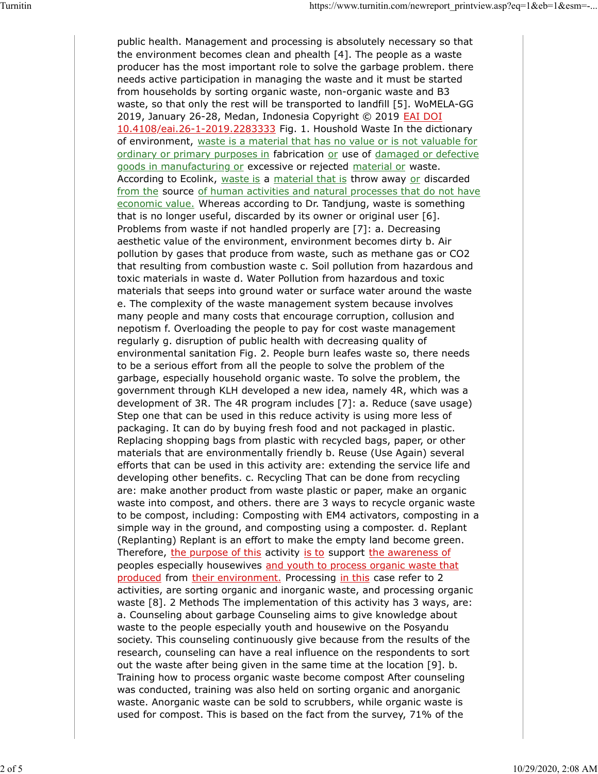public health. Management and processing is absolutely necessary so that the environment becomes clean and phealth [4]. The people as a waste producer has the most important role to solve the garbage problem. there needs active participation in managing the waste and it must be started from households by sorting organic waste, non-organic waste and B3 waste, so that only the rest will be transported to landfill [5]. WoMELA-GG 2019, January 26-28, Medan, Indonesia Copyright © 2019 **EAI DOI** 10.4108/eai.26-1-2019.2283333 Fig. 1. Houshold Waste In the dictionary of environment, waste is a material that has no value or is not valuable for ordinary or primary purposes in fabrication or use of damaged or defective goods in manufacturing or excessive or rejected material or waste. According to Ecolink, waste is a material that is throw away or discarded from the source of human activities and natural processes that do not have economic value. Whereas according to Dr. Tandjung, waste is something that is no longer useful, discarded by its owner or original user [6]. Problems from waste if not handled properly are [7]: a. Decreasing aesthetic value of the environment, environment becomes dirty b. Air pollution by gases that produce from waste, such as methane gas or CO2 that resulting from combustion waste c. Soil pollution from hazardous and toxic materials in waste d. Water Pollution from hazardous and toxic materials that seeps into ground water or surface water around the waste e. The complexity of the waste management system because involves many people and many costs that encourage corruption, collusion and nepotism f. Overloading the people to pay for cost waste management regularly g. disruption of public health with decreasing quality of environmental sanitation Fig. 2. People burn leafes waste so, there needs to be a serious effort from all the people to solve the problem of the garbage, especially household organic waste. To solve the problem, the government through KLH developed a new idea, namely 4R, which was a development of 3R. The 4R program includes [7]: a. Reduce (save usage) Step one that can be used in this reduce activity is using more less of packaging. It can do by buying fresh food and not packaged in plastic. Replacing shopping bags from plastic with recycled bags, paper, or other materials that are environmentally friendly b. Reuse (Use Again) several efforts that can be used in this activity are: extending the service life and developing other benefits. c. Recycling That can be done from recycling are: make another product from waste plastic or paper, make an organic waste into compost, and others. there are 3 ways to recycle organic waste to be compost, including: Composting with EM4 activators, composting in a simple way in the ground, and composting using a composter. d. Replant (Replanting) Replant is an effort to make the empty land become green. Therefore, the purpose of this activity is to support the awareness of peoples especially housewives and youth to process organic waste that produced from their environment. Processing in this case refer to 2 activities, are sorting organic and inorganic waste, and processing organic waste [8]. 2 Methods The implementation of this activity has 3 ways, are: a. Counseling about garbage Counseling aims to give knowledge about waste to the people especially youth and housewive on the Posyandu society. This counseling continuously give because from the results of the research, counseling can have a real influence on the respondents to sort out the waste after being given in the same time at the location [9]. b. Training how to process organic waste become compost After counseling was conducted, training was also held on sorting organic and anorganic waste. Anorganic waste can be sold to scrubbers, while organic waste is used for compost. This is based on the fact from the survey, 71% of the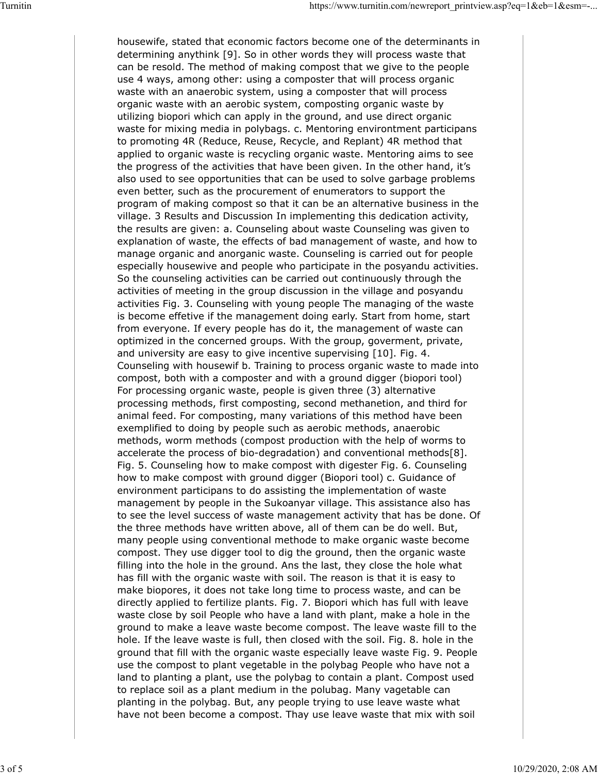housewife, stated that economic factors become one of the determinants in determining anythink [9]. So in other words they will process waste that can be resold. The method of making compost that we give to the people use 4 ways, among other: using a composter that will process organic waste with an anaerobic system, using a composter that will process organic waste with an aerobic system, composting organic waste by utilizing biopori which can apply in the ground, and use direct organic waste for mixing media in polybags. c. Mentoring environtment participans to promoting 4R (Reduce, Reuse, Recycle, and Replant) 4R method that applied to organic waste is recycling organic waste. Mentoring aims to see the progress of the activities that have been given. In the other hand, it's also used to see opportunities that can be used to solve garbage problems even better, such as the procurement of enumerators to support the program of making compost so that it can be an alternative business in the village. 3 Results and Discussion In implementing this dedication activity, the results are given: a. Counseling about waste Counseling was given to explanation of waste, the effects of bad management of waste, and how to manage organic and anorganic waste. Counseling is carried out for people especially housewive and people who participate in the posyandu activities. So the counseling activities can be carried out continuously through the activities of meeting in the group discussion in the village and posyandu activities Fig. 3. Counseling with young people The managing of the waste is become effetive if the management doing early. Start from home, start from everyone. If every people has do it, the management of waste can optimized in the concerned groups. With the group, goverment, private, and university are easy to give incentive supervising [10]. Fig. 4. Counseling with housewif b. Training to process organic waste to made into compost, both with a composter and with a ground digger (biopori tool) For processing organic waste, people is given three (3) alternative processing methods, first composting, second methanetion, and third for animal feed. For composting, many variations of this method have been exemplified to doing by people such as aerobic methods, anaerobic methods, worm methods (compost production with the help of worms to accelerate the process of bio-degradation) and conventional methods[8]. Fig. 5. Counseling how to make compost with digester Fig. 6. Counseling how to make compost with ground digger (Biopori tool) c. Guidance of environment participans to do assisting the implementation of waste management by people in the Sukoanyar village. This assistance also has to see the level success of waste management activity that has be done. Of the three methods have written above, all of them can be do well. But, many people using conventional methode to make organic waste become compost. They use digger tool to dig the ground, then the organic waste filling into the hole in the ground. Ans the last, they close the hole what has fill with the organic waste with soil. The reason is that it is easy to make biopores, it does not take long time to process waste, and can be directly applied to fertilize plants. Fig. 7. Biopori which has full with leave waste close by soil People who have a land with plant, make a hole in the ground to make a leave waste become compost. The leave waste fill to the hole. If the leave waste is full, then closed with the soil. Fig. 8. hole in the ground that fill with the organic waste especially leave waste Fig. 9. People use the compost to plant vegetable in the polybag People who have not a land to planting a plant, use the polybag to contain a plant. Compost used to replace soil as a plant medium in the polubag. Many vagetable can planting in the polybag. But, any people trying to use leave waste what have not been become a compost. Thay use leave waste that mix with soil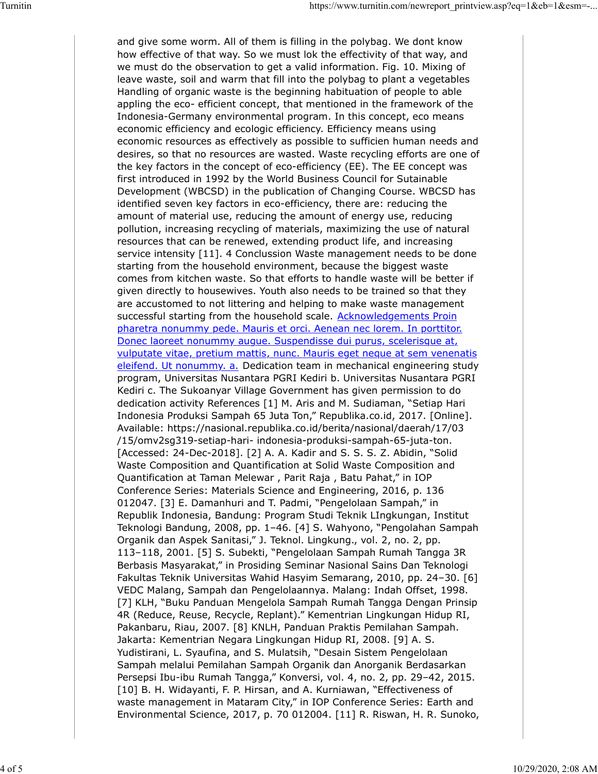and give some worm. All of them is filling in the polybag. We dont know how effective of that way. So we must lok the effectivity of that way, and we must do the observation to get a valid information. Fig. 10. Mixing of leave waste, soil and warm that fill into the polybag to plant a vegetables Handling of organic waste is the beginning habituation of people to able appling the eco- efficient concept, that mentioned in the framework of the Indonesia-Germany environmental program. In this concept, eco means economic efficiency and ecologic efficiency. Efficiency means using economic resources as effectively as possible to sufficien human needs and desires, so that no resources are wasted. Waste recycling efforts are one of the key factors in the concept of eco-efficiency (EE). The EE concept was first introduced in 1992 by the World Business Council for Sutainable Development (WBCSD) in the publication of Changing Course. WBCSD has identified seven key factors in eco-efficiency, there are: reducing the amount of material use, reducing the amount of energy use, reducing pollution, increasing recycling of materials, maximizing the use of natural resources that can be renewed, extending product life, and increasing service intensity [11]. 4 Conclussion Waste management needs to be done starting from the household environment, because the biggest waste comes from kitchen waste. So that efforts to handle waste will be better if given directly to housewives. Youth also needs to be trained so that they are accustomed to not littering and helping to make waste management successful starting from the household scale. Acknowledgements Proin pharetra nonummy pede. Mauris et orci. Aenean nec lorem. In porttitor. Donec laoreet nonummy augue. Suspendisse dui purus, scelerisque at, vulputate vitae, pretium mattis, nunc. Mauris eget neque at sem venenatis eleifend. Ut nonummy. a. Dedication team in mechanical engineering study program, Universitas Nusantara PGRI Kediri b. Universitas Nusantara PGRI Kediri c. The Sukoanyar Village Government has given permission to do dedication activity References [1] M. Aris and M. Sudiaman, "Setiap Hari Indonesia Produksi Sampah 65 Juta Ton," Republika.co.id, 2017. [Online]. Available: https://nasional.republika.co.id/berita/nasional/daerah/17/03 /15/omv2sg319-setiap-hari- indonesia-produksi-sampah-65-juta-ton. [Accessed: 24-Dec-2018]. [2] A. A. Kadir and S. S. S. Z. Abidin, "Solid Waste Composition and Quantification at Solid Waste Composition and Quantification at Taman Melewar , Parit Raja , Batu Pahat," in IOP Conference Series: Materials Science and Engineering, 2016, p. 136 012047. [3] E. Damanhuri and T. Padmi, "Pengelolaan Sampah," in Republik Indonesia, Bandung: Program Studi Teknik LIngkungan, Institut Teknologi Bandung, 2008, pp. 1–46. [4] S. Wahyono, "Pengolahan Sampah Organik dan Aspek Sanitasi," J. Teknol. Lingkung., vol. 2, no. 2, pp. 113–118, 2001. [5] S. Subekti, "Pengelolaan Sampah Rumah Tangga 3R Berbasis Masyarakat," in Prosiding Seminar Nasional Sains Dan Teknologi Fakultas Teknik Universitas Wahid Hasyim Semarang, 2010, pp. 24–30. [6] VEDC Malang, Sampah dan Pengelolaannya. Malang: Indah Offset, 1998. [7] KLH, "Buku Panduan Mengelola Sampah Rumah Tangga Dengan Prinsip 4R (Reduce, Reuse, Recycle, Replant)." Kementrian Lingkungan Hidup RI, Pakanbaru, Riau, 2007. [8] KNLH, Panduan Praktis Pemilahan Sampah. Jakarta: Kementrian Negara Lingkungan Hidup RI, 2008. [9] A. S. Yudistirani, L. Syaufina, and S. Mulatsih, "Desain Sistem Pengelolaan Sampah melalui Pemilahan Sampah Organik dan Anorganik Berdasarkan Persepsi Ibu-ibu Rumah Tangga," Konversi, vol. 4, no. 2, pp. 29–42, 2015. [10] B. H. Widayanti, F. P. Hirsan, and A. Kurniawan, "Effectiveness of waste management in Mataram City," in IOP Conference Series: Earth and Environmental Science, 2017, p. 70 012004. [11] R. Riswan, H. R. Sunoko,